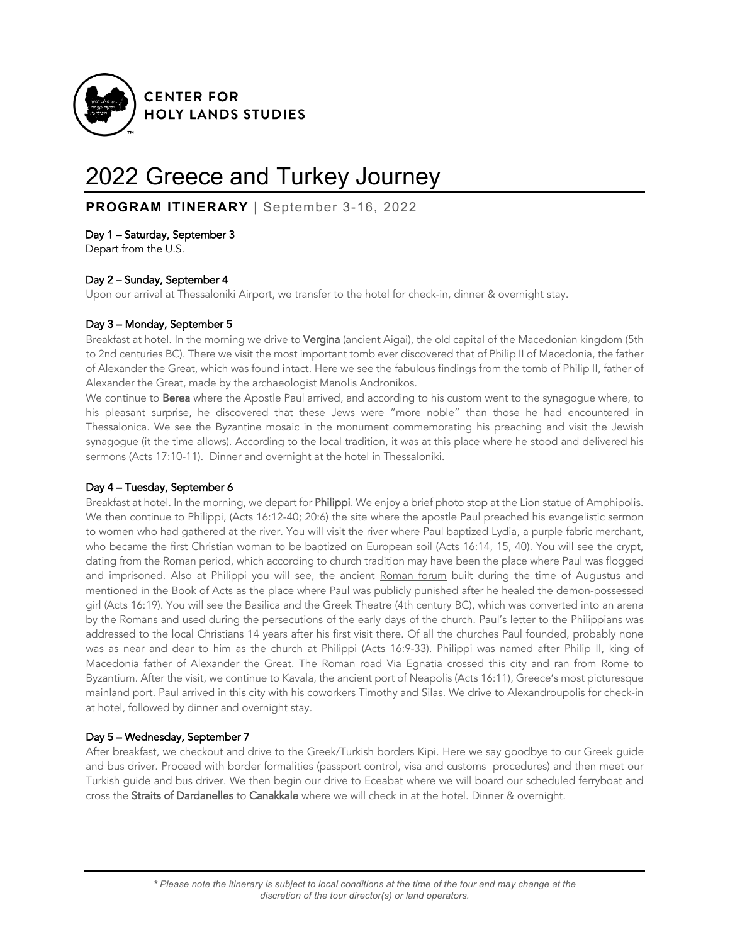

# 2022 Greece and Turkey Journey

**PROGRAM ITINERARY** | September 3-16, 2022

# Day 1 – Saturday, September 3

Depart from the U.S.

# Day 2 – Sunday, September 4

Upon our arrival at Thessaloniki Airport, we transfer to the hotel for check-in, dinner & overnight stay.

# Day 3 – Monday, September 5

Breakfast at hotel. In the morning we drive to Vergina (ancient Aigai), the old capital of the Macedonian kingdom (5th to 2nd centuries BC). There we visit the most important tomb ever discovered that of Philip II of Macedonia, the father of Alexander the Great, which was found intact. Here we see the fabulous findings from the tomb of Philip II, father of Alexander the Great, made by the archaeologist Manolis Andronikos.

We continue to Berea where the Apostle Paul arrived, and according to his custom went to the synagogue where, to his pleasant surprise, he discovered that these Jews were "more noble" than those he had encountered in Thessalonica. We see the Byzantine mosaic in the monument commemorating his preaching and visit the Jewish synagogue (it the time allows). According to the local tradition, it was at this place where he stood and delivered his sermons (Acts 17:10-11). Dinner and overnight at the hotel in Thessaloniki.

## Day 4 – Tuesday, September 6

Breakfast at hotel. In the morning, we depart for Philippi. We enjoy a brief photo stop at the Lion statue of Amphipolis. We then continue to Philippi, (Acts 16:12-40; 20:6) the site where the apostle Paul preached his evangelistic sermon to women who had gathered at the river. You will visit the river where Paul baptized Lydia, a purple fabric merchant, who became the first Christian woman to be baptized on European soil (Acts 16:14, 15, 40). You will see the crypt, dating from the Roman period, which according to church tradition may have been the place where Paul was flogged and imprisoned. Also at Philippi you will see, the ancient Roman forum built during the time of Augustus and mentioned in the Book of Acts as the place where Paul was publicly punished after he healed the demon-possessed girl (Acts 16:19). You will see the Basilica and the Greek Theatre (4th century BC), which was converted into an arena by the Romans and used during the persecutions of the early days of the church. Paul's letter to the Philippians was addressed to the local Christians 14 years after his first visit there. Of all the churches Paul founded, probably none was as near and dear to him as the church at Philippi (Acts 16:9-33). Philippi was named after Philip II, king of Macedonia father of Alexander the Great. The Roman road Via Egnatia crossed this city and ran from Rome to Byzantium. After the visit, we continue to Kavala, the ancient port of Neapolis (Acts 16:11), Greece's most picturesque mainland port. Paul arrived in this city with his coworkers Timothy and Silas. We drive to Alexandroupolis for check-in at hotel, followed by dinner and overnight stay.

## Day 5 – Wednesday, September 7

After breakfast, we checkout and drive to the Greek/Turkish borders Kipi. Here we say goodbye to our Greek guide and bus driver. Proceed with border formalities (passport control, visa and customs procedures) and then meet our Turkish guide and bus driver. We then begin our drive to Eceabat where we will board our scheduled ferryboat and cross the Straits of Dardanelles to Canakkale where we will check in at the hotel. Dinner & overnight.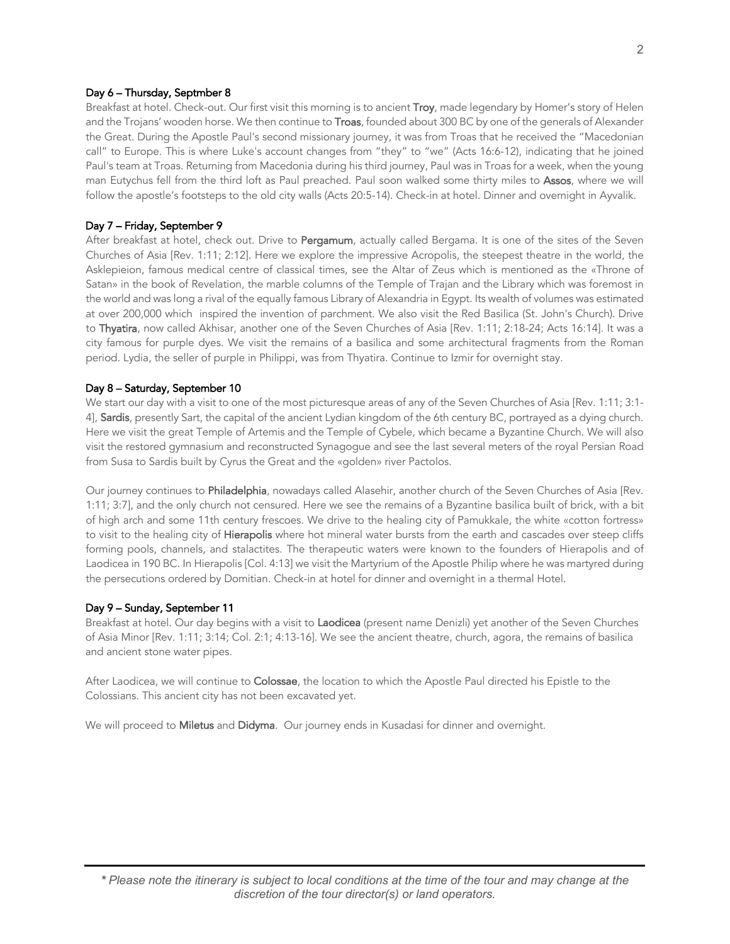### Day 6 – Thursday, Septmber 8

Breakfast at hotel. Check-out. Our first visit this morning is to ancient Troy, made legendary by Homer's story of Helen and the Trojans' wooden horse. We then continue to Troas, founded about 300 BC by one of the generals of Alexander the Great. During the Apostle Paul's second missionary journey, it was from Troas that he received the "Macedonian call" to Europe. This is where Luke's account changes from "they" to "we" (Acts 16:6-12), indicating that he joined Paul's team at Troas. Returning from Macedonia during his third journey, Paul was in Troas for a week, when the young man Eutychus fell from the third loft as Paul preached. Paul soon walked some thirty miles to Assos, where we will follow the apostle's footsteps to the old city walls (Acts 20:5-14). Check-in at hotel. Dinner and overnight in Ayvalik.

#### Day 7 – Friday, September 9

After breakfast at hotel, check out. Drive to Pergamum, actually called Bergama. It is one of the sites of the Seven Churches of Asia [Rev. 1:11; 2:12]. Here we explore the impressive Acropolis, the steepest theatre in the world, the Asklepieion, famous medical centre of classical times, see the Altar of Zeus which is mentioned as the «Throne of Satan» in the book of Revelation, the marble columns of the Temple of Trajan and the Library which was foremost in the world and was long a rival of the equally famous Library of Alexandria in Egypt. Its wealth of volumes was estimated at over 200,000 which inspired the invention of parchment. We also visit the Red Basilica (St. John's Church). Drive to Thyatira, now called Akhisar, another one of the Seven Churches of Asia [Rev. 1:11; 2:18-24; Acts 16:14]. It was a city famous for purple dyes. We visit the remains of a basilica and some architectural fragments from the Roman period. Lydia, the seller of purple in Philippi, was from Thyatira. Continue to Izmir for overnight stay.

#### Day 8 – Saturday, September 10

We start our day with a visit to one of the most picturesque areas of any of the Seven Churches of Asia [Rev. 1:11; 3:1- 4], Sardis, presently Sart, the capital of the ancient Lydian kingdom of the 6th century BC, portrayed as a dying church. Here we visit the great Temple of Artemis and the Temple of Cybele, which became a Byzantine Church. We will also visit the restored gymnasium and reconstructed Synagogue and see the last several meters of the royal Persian Road from Susa to Sardis built by Cyrus the Great and the «golden» river Pactolos.

Our journey continues to Philadelphia, nowadays called Alasehir, another church of the Seven Churches of Asia [Rev. 1:11; 3:7], and the only church not censured. Here we see the remains of a Byzantine basilica built of brick, with a bit of high arch and some 11th century frescoes. We drive to the healing city of Pamukkale, the white «cotton fortress» to visit to the healing city of Hierapolis where hot mineral water bursts from the earth and cascades over steep cliffs forming pools, channels, and stalactites. The therapeutic waters were known to the founders of Hierapolis and of Laodicea in 190 BC. In Hierapolis [Col. 4:13] we visit the Martyrium of the Apostle Philip where he was martyred during the persecutions ordered by Domitian. Check-in at hotel for dinner and overnight in a thermal Hotel.

## Day 9 – Sunday, September 11

Breakfast at hotel. Our day begins with a visit to Laodicea (present name Denizli) yet another of the Seven Churches of Asia Minor [Rev. 1:11; 3:14; Col. 2:1; 4:13-16]. We see the ancient theatre, church, agora, the remains of basilica and ancient stone water pipes.

After Laodicea, we will continue to Colossae, the location to which the Apostle Paul directed his Epistle to the Colossians. This ancient city has not been excavated yet.

We will proceed to Miletus and Didyma. Our journey ends in Kusadasi for dinner and overnight.